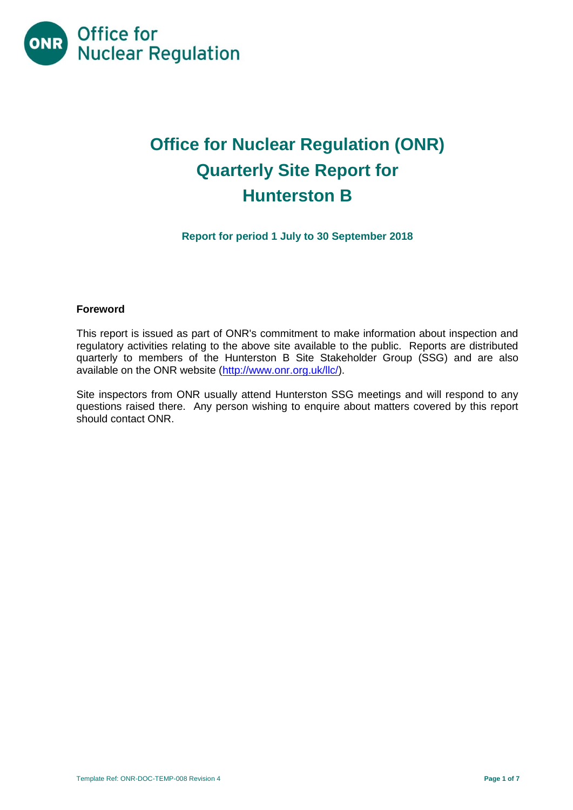

# **Office for Nuclear Regulation (ONR) Quarterly Site Report for Hunterston B**

**Report for period 1 July to 30 September 2018**

#### **Foreword**

This report is issued as part of ONR's commitment to make information about inspection and regulatory activities relating to the above site available to the public. Reports are distributed quarterly to members of the Hunterston B Site Stakeholder Group (SSG) and are also available on the ONR website [\(http://www.onr.org.uk/llc/\)](http://www.onr.org.uk/llc/).

Site inspectors from ONR usually attend Hunterston SSG meetings and will respond to any questions raised there. Any person wishing to enquire about matters covered by this report should contact ONR.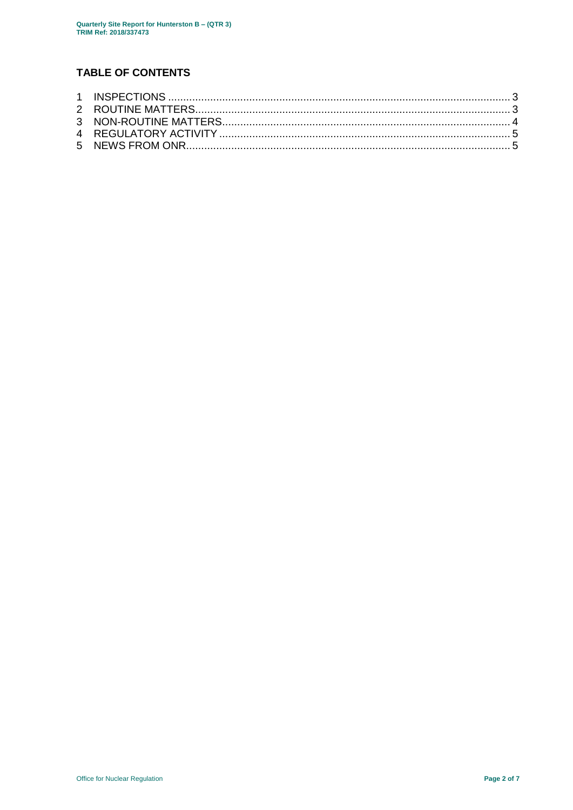## **TABLE OF CONTENTS**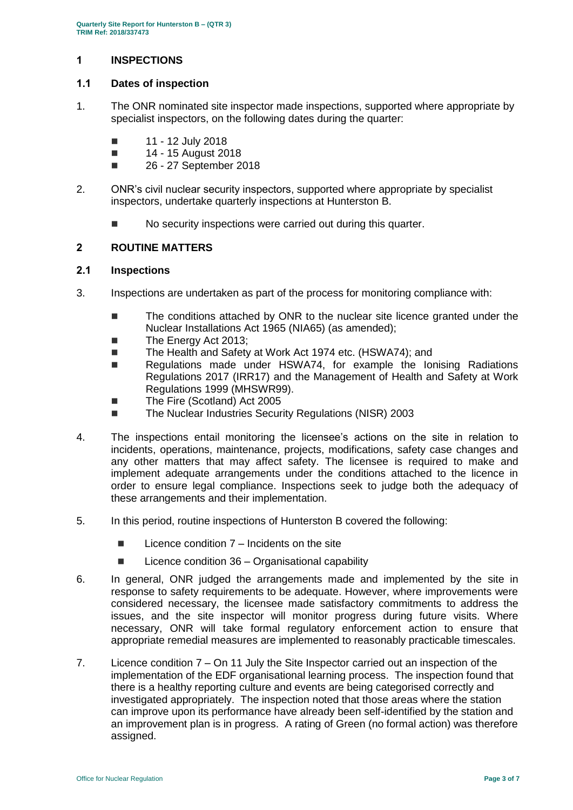## <span id="page-2-0"></span>**1 INSPECTIONS**

## **1.1 Dates of inspection**

- 1. The ONR nominated site inspector made inspections, supported where appropriate by specialist inspectors, on the following dates during the quarter:
	- $\blacksquare$  11 12 July 2018
	- $14 15$  August 2018
	- **26 27 September 2018**
- 2. ONR's civil nuclear security inspectors, supported where appropriate by specialist inspectors, undertake quarterly inspections at Hunterston B.
	- $\blacksquare$  No security inspections were carried out during this quarter.

## <span id="page-2-1"></span>**2 ROUTINE MATTERS**

## **2.1 Inspections**

- 3. Inspections are undertaken as part of the process for monitoring compliance with:
	- The conditions attached by ONR to the nuclear site licence granted under the Nuclear Installations Act 1965 (NIA65) (as amended);
	- The Energy Act 2013;
	- The Health and Safety at Work Act 1974 etc. (HSWA74); and
	- Regulations made under HSWA74, for example the Ionising Radiations Regulations 2017 (IRR17) and the Management of Health and Safety at Work Regulations 1999 (MHSWR99).
	- The Fire (Scotland) Act 2005
	- The Nuclear Industries Security Regulations (NISR) 2003
- 4. The inspections entail monitoring the licensee's actions on the site in relation to incidents, operations, maintenance, projects, modifications, safety case changes and any other matters that may affect safety. The licensee is required to make and implement adequate arrangements under the conditions attached to the licence in order to ensure legal compliance. Inspections seek to judge both the adequacy of these arrangements and their implementation.
- 5. In this period, routine inspections of Hunterston B covered the following:
	- $\blacksquare$  Licence condition  $7$  Incidents on the site
	- $\blacksquare$  Licence condition 36 Organisational capability
- 6. In general, ONR judged the arrangements made and implemented by the site in response to safety requirements to be adequate. However, where improvements were considered necessary, the licensee made satisfactory commitments to address the issues, and the site inspector will monitor progress during future visits. Where necessary, ONR will take formal regulatory enforcement action to ensure that appropriate remedial measures are implemented to reasonably practicable timescales.
- 7. Licence condition 7 On 11 July the Site Inspector carried out an inspection of the implementation of the EDF organisational learning process. The inspection found that there is a healthy reporting culture and events are being categorised correctly and investigated appropriately. The inspection noted that those areas where the station can improve upon its performance have already been self-identified by the station and an improvement plan is in progress. A rating of Green (no formal action) was therefore assigned.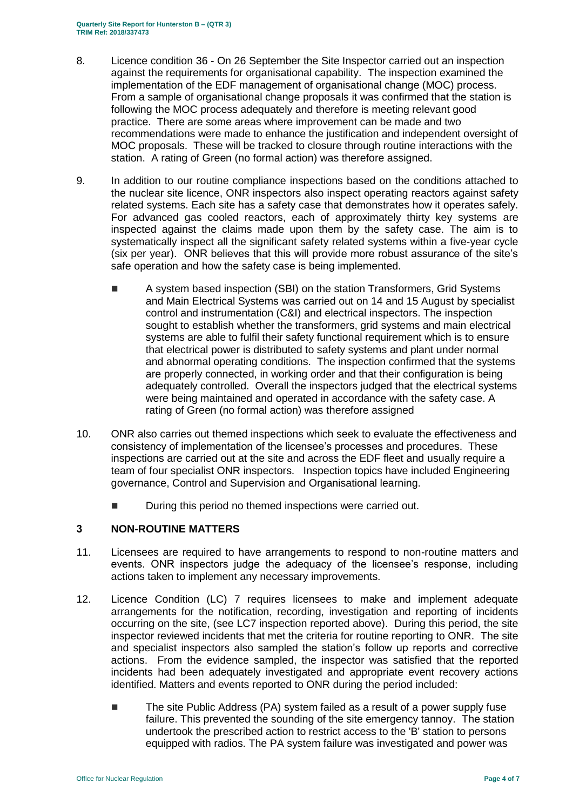- 8. Licence condition 36 On 26 September the Site Inspector carried out an inspection against the requirements for organisational capability. The inspection examined the implementation of the EDF management of organisational change (MOC) process. From a sample of organisational change proposals it was confirmed that the station is following the MOC process adequately and therefore is meeting relevant good practice. There are some areas where improvement can be made and two recommendations were made to enhance the justification and independent oversight of MOC proposals. These will be tracked to closure through routine interactions with the station. A rating of Green (no formal action) was therefore assigned.
- 9. In addition to our routine compliance inspections based on the conditions attached to the nuclear site licence, ONR inspectors also inspect operating reactors against safety related systems. Each site has a safety case that demonstrates how it operates safely. For advanced gas cooled reactors, each of approximately thirty key systems are inspected against the claims made upon them by the safety case. The aim is to systematically inspect all the significant safety related systems within a five-year cycle (six per year). ONR believes that this will provide more robust assurance of the site's safe operation and how the safety case is being implemented.
	- A system based inspection (SBI) on the station Transformers, Grid Systems and Main Electrical Systems was carried out on 14 and 15 August by specialist control and instrumentation (C&I) and electrical inspectors. The inspection sought to establish whether the transformers, grid systems and main electrical systems are able to fulfil their safety functional requirement which is to ensure that electrical power is distributed to safety systems and plant under normal and abnormal operating conditions. The inspection confirmed that the systems are properly connected, in working order and that their configuration is being adequately controlled. Overall the inspectors judged that the electrical systems were being maintained and operated in accordance with the safety case. A rating of Green (no formal action) was therefore assigned
- 10. ONR also carries out themed inspections which seek to evaluate the effectiveness and consistency of implementation of the licensee's processes and procedures. These inspections are carried out at the site and across the EDF fleet and usually require a team of four specialist ONR inspectors. Inspection topics have included Engineering governance, Control and Supervision and Organisational learning.
	- During this period no themed inspections were carried out.

## <span id="page-3-0"></span>**3 NON-ROUTINE MATTERS**

- 11. Licensees are required to have arrangements to respond to non-routine matters and events. ONR inspectors judge the adequacy of the licensee's response, including actions taken to implement any necessary improvements.
- 12. Licence Condition (LC) 7 requires licensees to make and implement adequate arrangements for the notification, recording, investigation and reporting of incidents occurring on the site, (see LC7 inspection reported above). During this period, the site inspector reviewed incidents that met the criteria for routine reporting to ONR. The site and specialist inspectors also sampled the station's follow up reports and corrective actions. From the evidence sampled, the inspector was satisfied that the reported incidents had been adequately investigated and appropriate event recovery actions identified. Matters and events reported to ONR during the period included:
	- The site Public Address (PA) system failed as a result of a power supply fuse failure. This prevented the sounding of the site emergency tannoy. The station undertook the prescribed action to restrict access to the 'B' station to persons equipped with radios. The PA system failure was investigated and power was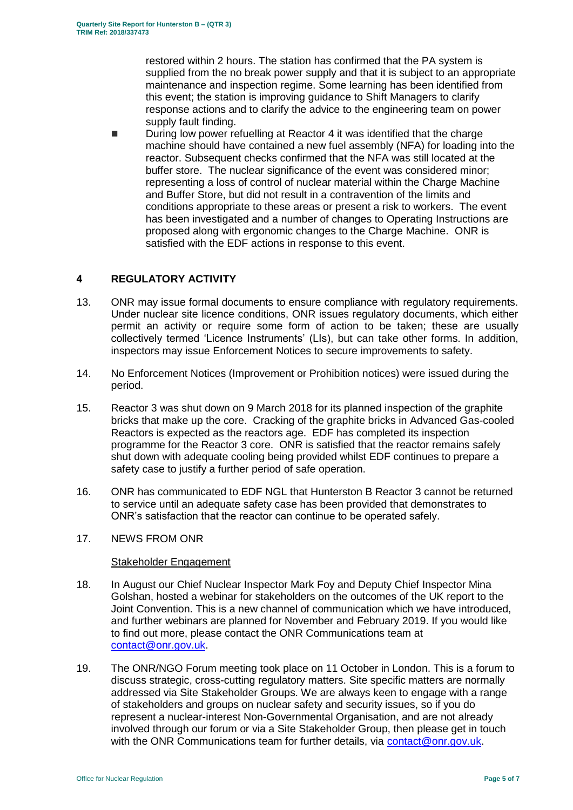restored within 2 hours. The station has confirmed that the PA system is supplied from the no break power supply and that it is subject to an appropriate maintenance and inspection regime. Some learning has been identified from this event; the station is improving guidance to Shift Managers to clarify response actions and to clarify the advice to the engineering team on power supply fault finding.

 During low power refuelling at Reactor 4 it was identified that the charge machine should have contained a new fuel assembly (NFA) for loading into the reactor. Subsequent checks confirmed that the NFA was still located at the buffer store. The nuclear significance of the event was considered minor; representing a loss of control of nuclear material within the Charge Machine and Buffer Store, but did not result in a contravention of the limits and conditions appropriate to these areas or present a risk to workers. The event has been investigated and a number of changes to Operating Instructions are proposed along with ergonomic changes to the Charge Machine. ONR is satisfied with the EDF actions in response to this event.

## <span id="page-4-0"></span>**4 REGULATORY ACTIVITY**

- 13. ONR may issue formal documents to ensure compliance with regulatory requirements. Under nuclear site licence conditions, ONR issues regulatory documents, which either permit an activity or require some form of action to be taken; these are usually collectively termed 'Licence Instruments' (LIs), but can take other forms. In addition, inspectors may issue Enforcement Notices to secure improvements to safety.
- 14. No Enforcement Notices (Improvement or Prohibition notices) were issued during the period.
- 15. Reactor 3 was shut down on 9 March 2018 for its planned inspection of the graphite bricks that make up the core. Cracking of the graphite bricks in Advanced Gas-cooled Reactors is expected as the reactors age. EDF has completed its inspection programme for the Reactor 3 core. ONR is satisfied that the reactor remains safely shut down with adequate cooling being provided whilst EDF continues to prepare a safety case to justify a further period of safe operation.
- 16. ONR has communicated to EDF NGL that Hunterston B Reactor 3 cannot be returned to service until an adequate safety case has been provided that demonstrates to ONR's satisfaction that the reactor can continue to be operated safely.

## <span id="page-4-1"></span>17. NEWS FROM ONR

## Stakeholder Engagement

- 18. In August our Chief Nuclear Inspector Mark Foy and Deputy Chief Inspector Mina Golshan, hosted a webinar for stakeholders on the outcomes of the UK report to the Joint Convention. This is a new channel of communication which we have introduced, and further webinars are planned for November and February 2019. If you would like to find out more, please contact the ONR Communications team at [contact@onr.gov.uk.](mailto:contact@onr.gov.uk)
- 19. The ONR/NGO Forum meeting took place on 11 October in London. This is a forum to discuss strategic, cross-cutting regulatory matters. Site specific matters are normally addressed via Site Stakeholder Groups. We are always keen to engage with a range of stakeholders and groups on nuclear safety and security issues, so if you do represent a nuclear-interest Non-Governmental Organisation, and are not already involved through our forum or via a Site Stakeholder Group, then please get in touch with the ONR Communications team for further details, via [contact@onr.gov.uk](mailto:contact@onr.gov.uk).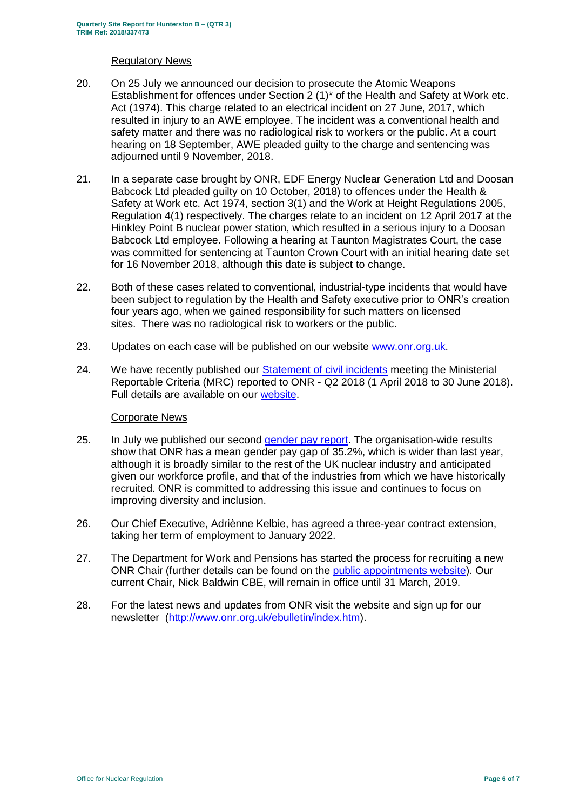#### Regulatory News

- 20. On 25 July we announced our decision to prosecute the Atomic Weapons Establishment for offences under Section 2 (1)\* of the Health and Safety at Work etc. Act (1974). This charge related to an electrical incident on 27 June, 2017, which resulted in injury to an AWE employee. The incident was a conventional health and safety matter and there was no radiological risk to workers or the public. At a court hearing on 18 September, AWE pleaded guilty to the charge and sentencing was adiourned until 9 November, 2018.
- 21. In a separate case brought by ONR, EDF Energy Nuclear Generation Ltd and Doosan Babcock Ltd pleaded guilty on 10 October, 2018) to offences under the Health & Safety at Work etc. Act 1974, section 3(1) and the Work at Height Regulations 2005, Regulation 4(1) respectively. The charges relate to an incident on 12 April 2017 at the Hinkley Point B nuclear power station, which resulted in a serious injury to a Doosan Babcock Ltd employee. Following a hearing at Taunton Magistrates Court, the case was committed for sentencing at Taunton Crown Court with an initial hearing date set for 16 November 2018, although this date is subject to change.
- 22. Both of these cases related to conventional, industrial-type incidents that would have been subject to regulation by the Health and Safety executive prior to ONR's creation four years ago, when we gained responsibility for such matters on licensed sites. There was no radiological risk to workers or the public.
- 23. Updates on each case will be published on our website [www.onr.org.uk](http://www.onr.org.uk/).
- 24. We have recently published our [Statement of civil incidents](http://www.onr.org.uk/quarterly-stat/2018-2.htm) meeting the Ministerial Reportable Criteria (MRC) reported to ONR - Q2 2018 (1 April 2018 to 30 June 2018). Full details are available on our [website.](http://www.onr.org.uk/quarterly-stat/2018-2.htm)

## Corporate News

- 25. In July we published our second [gender pay report.](http://news.onr.org.uk/2018/07/onr-publishes-second-gender-pay-report/) The organisation-wide results show that ONR has a mean gender pay gap of 35.2%, which is wider than last year, although it is broadly similar to the rest of the UK nuclear industry and anticipated given our workforce profile, and that of the industries from which we have historically recruited. ONR is committed to addressing this issue and continues to focus on improving diversity and inclusion.
- 26. Our Chief Executive, Adriènne Kelbie, has agreed a three-year contract extension, taking her term of employment to January 2022.
- 27. The Department for Work and Pensions has started the process for recruiting a new ONR Chair (further details can be found on the [public appointments website\)](https://publicappointments.cabinetoffice.gov.uk/appointment/chair-the-office-for-nuclear-regulations/). Our current Chair, Nick Baldwin CBE, will remain in office until 31 March, 2019.
- 28. For the latest news and updates from ONR visit the website and sign up for our newsletter [\(http://www.onr.org.uk/ebulletin/index.htm\)](http://www.onr.org.uk/ebulletin/index.htm).